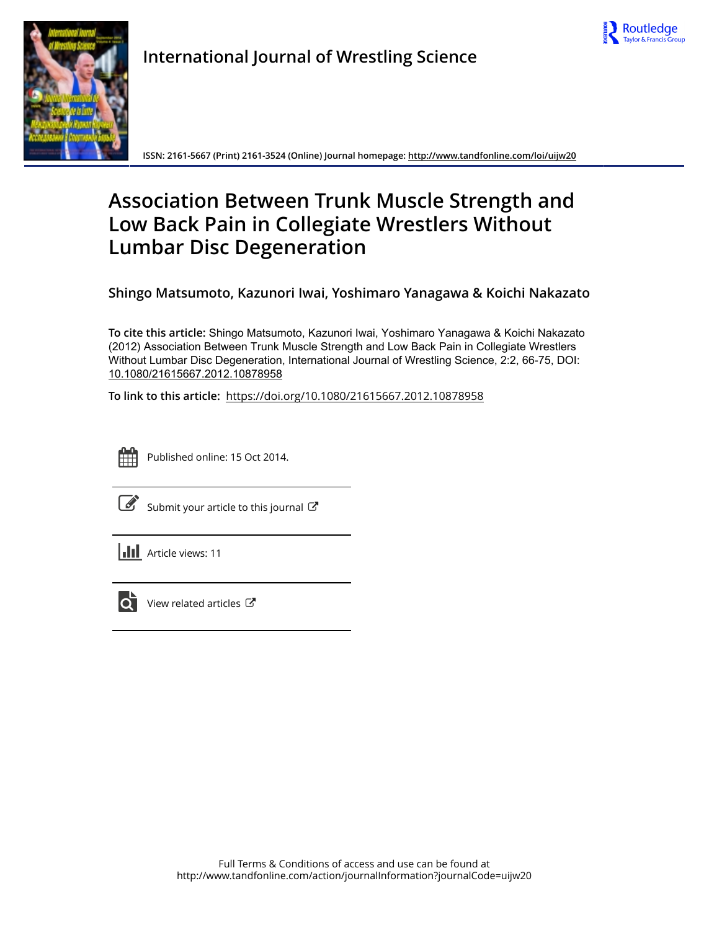



**International Journal of Wrestling Science**

**ISSN: 2161-5667 (Print) 2161-3524 (Online) Journal homepage:<http://www.tandfonline.com/loi/uijw20>**

# **Association Between Trunk Muscle Strength and Low Back Pain in Collegiate Wrestlers Without Lumbar Disc Degeneration**

**Shingo Matsumoto, Kazunori Iwai, Yoshimaro Yanagawa & Koichi Nakazato**

**To cite this article:** Shingo Matsumoto, Kazunori Iwai, Yoshimaro Yanagawa & Koichi Nakazato (2012) Association Between Trunk Muscle Strength and Low Back Pain in Collegiate Wrestlers Without Lumbar Disc Degeneration, International Journal of Wrestling Science, 2:2, 66-75, DOI: [10.1080/21615667.2012.10878958](http://www.tandfonline.com/action/showCitFormats?doi=10.1080/21615667.2012.10878958)

**To link to this article:** <https://doi.org/10.1080/21615667.2012.10878958>



Published online: 15 Oct 2014.

[Submit your article to this journal](http://www.tandfonline.com/action/authorSubmission?journalCode=uijw20&show=instructions)  $\mathbb{Z}$ 

**III** Article views: 11



 $\overline{Q}$  [View related articles](http://www.tandfonline.com/doi/mlt/10.1080/21615667.2012.10878958)  $\overline{C}$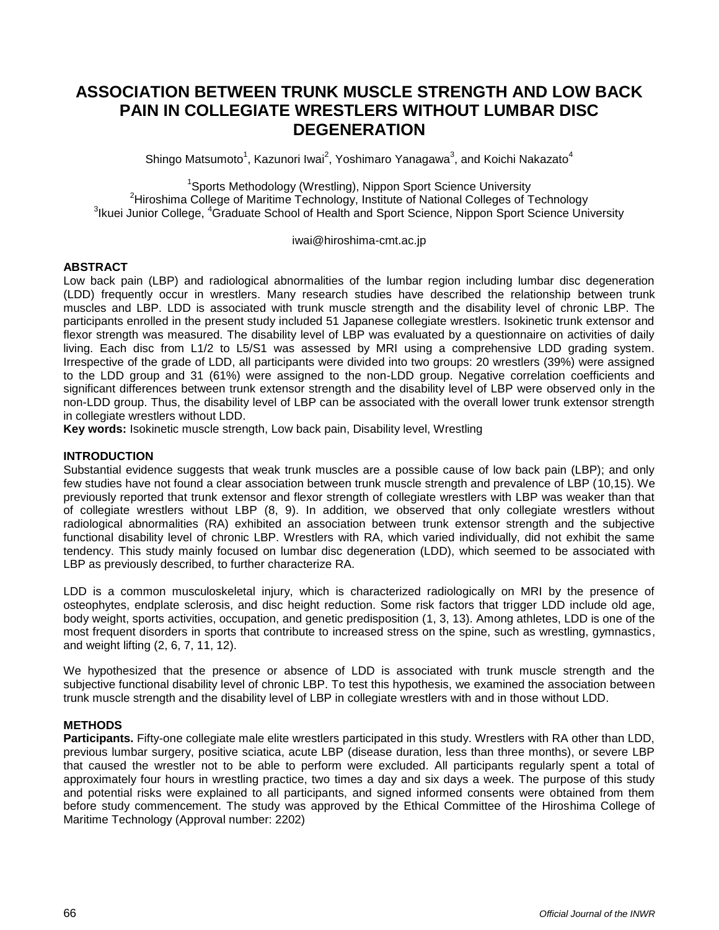### **ASSOCIATION BETWEEN TRUNK MUSCLE STRENGTH AND LOW BACK PAIN IN COLLEGIATE WRESTLERS WITHOUT LUMBAR DISC DEGENERATION**

Shingo Matsumoto<sup>1</sup>, Kazunori Iwai $^2$ , Yoshimaro Yanagawa $^3$ , and Koichi Nakazato $^4$ 

<sup>1</sup>Sports Methodology (Wrestling), Nippon Sport Science University <sup>2</sup>Hiroshima College of Maritime Technology, Institute of National Colleges of Technology <sup>3</sup>Ikuei Junior College, <sup>4</sup>Graduate School of Health and Sport Science, Nippon Sport Science University

[iwai@hiroshima-cmt.ac.jp](mailto:iwai@hiroshima-cmt.ac.jp)

#### **ABSTRACT**

Low back pain (LBP) and radiological abnormalities of the lumbar region including lumbar disc degeneration (LDD) frequently occur in wrestlers. Many research studies have described the relationship between trunk muscles and LBP. LDD is associated with trunk muscle strength and the disability level of chronic LBP. The participants enrolled in the present study included 51 Japanese collegiate wrestlers. Isokinetic trunk extensor and flexor strength was measured. The disability level of LBP was evaluated by a questionnaire on activities of daily living. Each disc from L1/2 to L5/S1 was assessed by MRI using a comprehensive LDD grading system. Irrespective of the grade of LDD, all participants were divided into two groups: 20 wrestlers (39%) were assigned to the LDD group and 31 (61%) were assigned to the non-LDD group. Negative correlation coefficients and significant differences between trunk extensor strength and the disability level of LBP were observed only in the non-LDD group. Thus, the disability level of LBP can be associated with the overall lower trunk extensor strength in collegiate wrestlers without LDD.

**Key words:** Isokinetic muscle strength, Low back pain, Disability level, Wrestling

#### **INTRODUCTION**

Substantial evidence suggests that weak trunk muscles are a possible cause of low back pain (LBP); and only few studies have not found a clear association between trunk muscle strength and prevalence of LBP (10,15). We previously reported that trunk extensor and flexor strength of collegiate wrestlers with LBP was weaker than that of collegiate wrestlers without LBP (8, 9). In addition, we observed that only collegiate wrestlers without radiological abnormalities (RA) exhibited an association between trunk extensor strength and the subjective functional disability level of chronic LBP. Wrestlers with RA, which varied individually, did not exhibit the same tendency. This study mainly focused on lumbar disc degeneration (LDD), which seemed to be associated with LBP as previously described, to further characterize RA.

LDD is a common musculoskeletal injury, which is characterized radiologically on MRI by the presence of osteophytes, endplate sclerosis, and disc height reduction. Some risk factors that trigger LDD include old age, body weight, sports activities, occupation, and genetic predisposition (1, 3, 13). Among athletes, LDD is one of the most frequent disorders in sports that contribute to increased stress on the spine, such as wrestling, gymnastics, and weight lifting (2, 6, 7, 11, 12).

We hypothesized that the presence or absence of LDD is associated with trunk muscle strength and the subjective functional disability level of chronic LBP. To test this hypothesis, we examined the association between trunk muscle strength and the disability level of LBP in collegiate wrestlers with and in those without LDD.

#### **METHODS**

**Participants.** Fifty-one collegiate male elite wrestlers participated in this study. Wrestlers with RA other than LDD, previous lumbar surgery, positive sciatica, acute LBP (disease duration, less than three months), or severe LBP that caused the wrestler not to be able to perform were excluded. All participants regularly spent a total of approximately four hours in wrestling practice, two times a day and six days a week. The purpose of this study and potential risks were explained to all participants, and signed informed consents were obtained from them before study commencement. The study was approved by the Ethical Committee of the Hiroshima College of Maritime Technology (Approval number: 2202)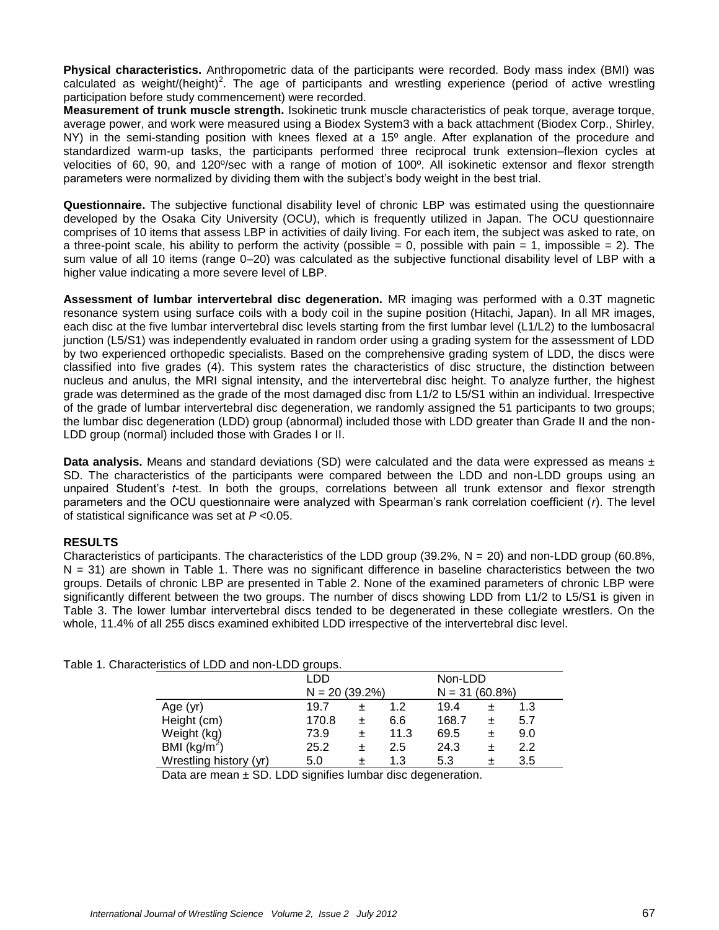**Physical characteristics.** Anthropometric data of the participants were recorded. Body mass index (BMI) was calculated as weight/(height)<sup>2</sup>. The age of participants and wrestling experience (period of active wrestling participation before study commencement) were recorded.

**Measurement of trunk muscle strength.** Isokinetic trunk muscle characteristics of peak torque, average torque, average power, and work were measured using a Biodex System3 with a back attachment (Biodex Corp., Shirley, NY) in the semi-standing position with knees flexed at a 15<sup>o</sup> angle. After explanation of the procedure and standardized warm-up tasks, the participants performed three reciprocal trunk extension–flexion cycles at velocities of 60, 90, and 120º/sec with a range of motion of 100º. All isokinetic extensor and flexor strength parameters were normalized by dividing them with the subject's body weight in the best trial.

**Questionnaire.** The subjective functional disability level of chronic LBP was estimated using the questionnaire developed by the Osaka City University (OCU), which is frequently utilized in Japan. The OCU questionnaire comprises of 10 items that assess LBP in activities of daily living. For each item, the subject was asked to rate, on a three-point scale, his ability to perform the activity (possible = 0, possible with pain = 1, impossible = 2). The sum value of all 10 items (range 0–20) was calculated as the subjective functional disability level of LBP with a higher value indicating a more severe level of LBP.

**Assessment of lumbar intervertebral disc degeneration.** MR imaging was performed with a 0.3T magnetic resonance system using surface coils with a body coil in the supine position (Hitachi, Japan). In all MR images, each disc at the five lumbar intervertebral disc levels starting from the first lumbar level (L1/L2) to the lumbosacral junction (L5/S1) was independently evaluated in random order using a grading system for the assessment of LDD by two experienced orthopedic specialists. Based on the comprehensive grading system of LDD, the discs were classified into five grades (4). This system rates the characteristics of disc structure, the distinction between nucleus and anulus, the MRI signal intensity, and the intervertebral disc height. To analyze further, the highest grade was determined as the grade of the most damaged disc from L1/2 to L5/S1 within an individual. Irrespective of the grade of lumbar intervertebral disc degeneration, we randomly assigned the 51 participants to two groups; the lumbar disc degeneration (LDD) group (abnormal) included those with LDD greater than Grade II and the non-LDD group (normal) included those with Grades I or II.

Data analysis. Means and standard deviations (SD) were calculated and the data were expressed as means ± SD. The characteristics of the participants were compared between the LDD and non-LDD groups using an unpaired Student's *t*-test. In both the groups, correlations between all trunk extensor and flexor strength parameters and the OCU questionnaire were analyzed with Spearman's rank correlation coefficient (*r*). The level of statistical significance was set at *P* <0.05.

#### **RESULTS**

Characteristics of participants. The characteristics of the LDD group (39.2%,  $N = 20$ ) and non-LDD group (60.8%,  $N = 31$ ) are shown in Table 1. There was no significant difference in baseline characteristics between the two groups. Details of chronic LBP are presented in Table 2. None of the examined parameters of chronic LBP were significantly different between the two groups. The number of discs showing LDD from L1/2 to L5/S1 is given in Table 3. The lower lumbar intervertebral discs tended to be degenerated in these collegiate wrestlers. On the whole, 11.4% of all 255 discs examined exhibited LDD irrespective of the intervertebral disc level.

Table 1. Characteristics of LDD and non-LDD groups.

|                        | LDD              |        | Non-LDD |                   |   |     |  |
|------------------------|------------------|--------|---------|-------------------|---|-----|--|
|                        | $N = 20 (39.2%)$ |        |         | $N = 31 (60.8\%)$ |   |     |  |
| Age $(yr)$             | 19.7             | ÷      | 1.2     | 19.4              | 士 | 1.3 |  |
| Height (cm)            | 170.8            | ÷      | 6.6     | 168.7             | 士 | 5.7 |  |
| Weight (kg)            | 73.9             | ÷      | 11.3    | 69.5              | 士 | 9.0 |  |
| BMI ( $kg/m2$ )        | 25.2             | $\div$ | 2.5     | 24.3              | 士 | 2.2 |  |
| Wrestling history (yr) | 5.0              |        | 1.3     | 5.3               |   | 3.5 |  |

Data are mean  $\pm$  SD. LDD signifies lumbar disc degeneration.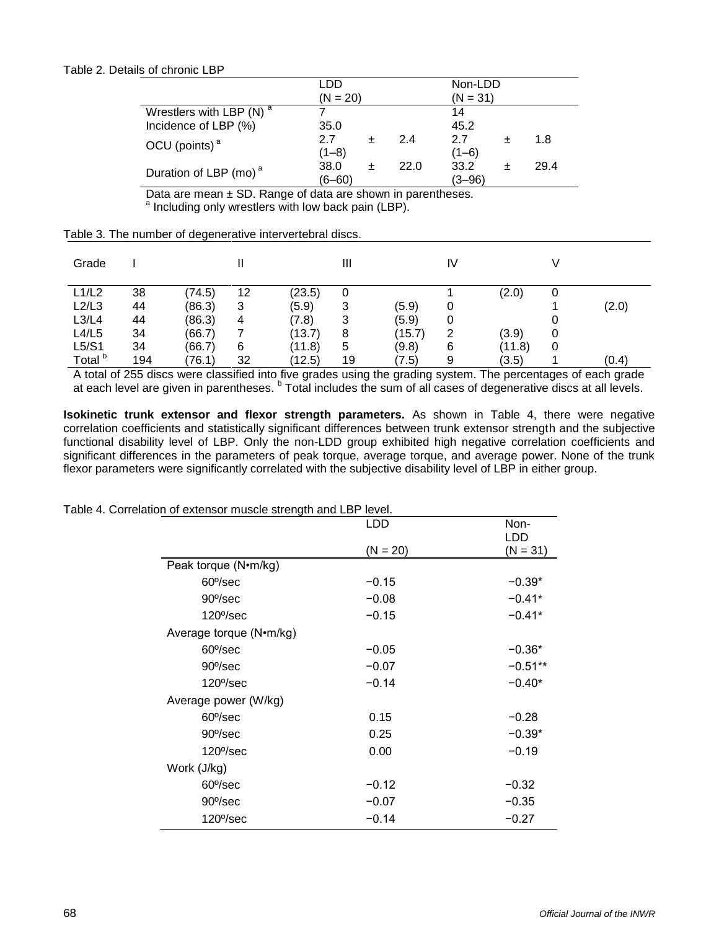#### Table 2. Details of chronic LBP

|                                   | LDD        |      | Non-LDD    |      |
|-----------------------------------|------------|------|------------|------|
|                                   | $(N = 20)$ |      | $(N = 31)$ |      |
| Wrestlers with LBP (N) $^a$       |            |      | 14         |      |
| Incidence of LBP (%)              | 35.0       |      | 45.2       |      |
| OCU (points) $a$                  | 2.7        | 24   | 27         | 1.8  |
|                                   | $(1-8)$    |      | $(1-6)$    |      |
| Duration of LBP (mo) <sup>a</sup> | 38.0       | 22.0 | 33.2       | 29.4 |
|                                   | (6–60)     |      | (3–96)     |      |

Data are mean ± SD. Range of data are shown in parentheses. <sup>a</sup> Including only wrestlers with low back pain (LBP).

| Table 3. The number of degenerative intervertebral discs. |  |
|-----------------------------------------------------------|--|
|-----------------------------------------------------------|--|

| Grade              |     |        | Ш  |        | Ш  |        | I٧ |        |   |       |
|--------------------|-----|--------|----|--------|----|--------|----|--------|---|-------|
| L1/L2              | 38  | (74.5) | 12 | (23.5) | 0  |        |    | (2.0)  | 0 |       |
| L2/L3              | 44  | (86.3) | 3  | (5.9)  | 3  | (5.9)  |    |        |   | (2.0) |
| L3/L4              | 44  | (86.3) | 4  | (7.8)  | 3  | (5.9)  | 0  |        | 0 |       |
| L4/L5              | 34  | (66.7) |    | (13.7) | 8  | (15.7) | 2  | (3.9)  | 0 |       |
| L5/S1              | 34  | (66.7) | 6  | (11.8) | 5  | (9.8)  | 6  | (11.8) | 0 |       |
| Total <sup>b</sup> | 194 | (76.1) | 32 | (12.5) | 19 | (7.5)  | 9  | (3.5)  |   | (0.4) |

A total of 255 discs were classified into five grades using the grading system. The percentages of each grade at each level are given in parentheses. <sup>b</sup> Total includes the sum of all cases of degenerative discs at all levels.

**Isokinetic trunk extensor and flexor strength parameters.** As shown in Table 4, there were negative correlation coefficients and statistically significant differences between trunk extensor strength and the subjective functional disability level of LBP. Only the non-LDD group exhibited high negative correlation coefficients and significant differences in the parameters of peak torque, average torque, and average power. None of the trunk flexor parameters were significantly correlated with the subjective disability level of LBP in either group.

| $\sim$ of oxtonoon maddle other gun and LD. To foll<br><b>LDD</b> | Non-<br><b>LDD</b> |
|-------------------------------------------------------------------|--------------------|
| $(N = 20)$                                                        | $(N = 31)$         |
|                                                                   |                    |
| $-0.15$                                                           | $-0.39*$           |
| $-0.08$                                                           | $-0.41*$           |
| $-0.15$                                                           | $-0.41*$           |
|                                                                   |                    |
| $-0.05$                                                           | $-0.36*$           |
| $-0.07$                                                           | $-0.51**$          |
| $-0.14$                                                           | $-0.40*$           |
|                                                                   |                    |
| 0.15                                                              | $-0.28$            |
| 0.25                                                              | $-0.39*$           |
| 0.00                                                              | $-0.19$            |
|                                                                   |                    |
| $-0.12$                                                           | $-0.32$            |
| $-0.07$                                                           | $-0.35$            |
| $-0.14$                                                           | $-0.27$            |
|                                                                   |                    |

Table 4. Correlation of extensor muscle strength and LBP level.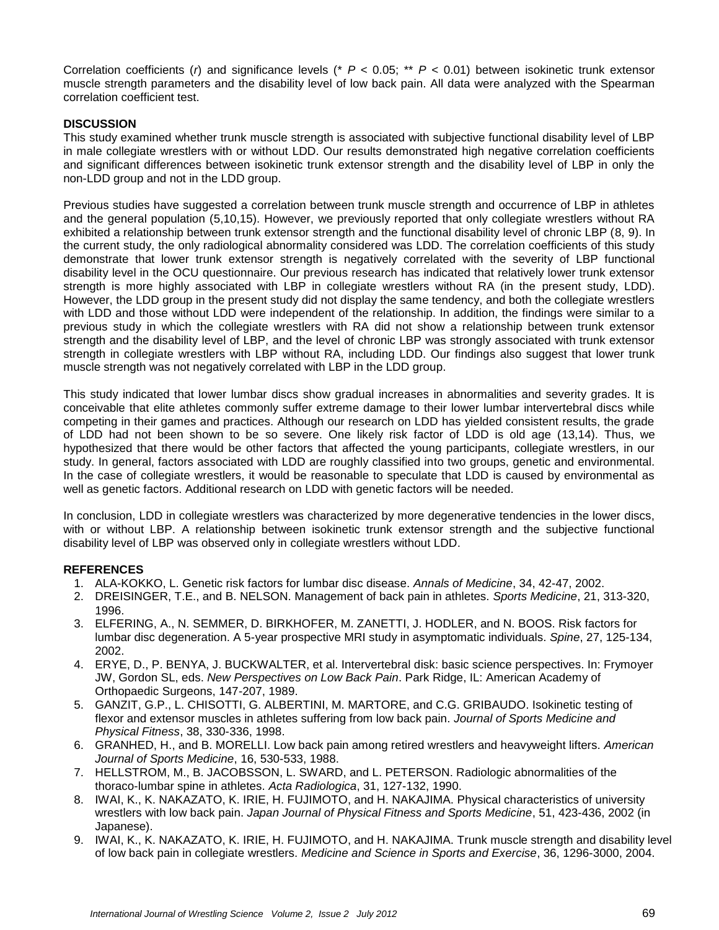Correlation coefficients (*r*) and significance levels (\* *P* < 0.05; \*\* *P* < 0.01) between isokinetic trunk extensor muscle strength parameters and the disability level of low back pain. All data were analyzed with the Spearman correlation coefficient test.

#### **DISCUSSION**

This study examined whether trunk muscle strength is associated with subjective functional disability level of LBP in male collegiate wrestlers with or without LDD. Our results demonstrated high negative correlation coefficients and significant differences between isokinetic trunk extensor strength and the disability level of LBP in only the non-LDD group and not in the LDD group.

Previous studies have suggested a correlation between trunk muscle strength and occurrence of LBP in athletes and the general population (5,10,15). However, we previously reported that only collegiate wrestlers without RA exhibited a relationship between trunk extensor strength and the functional disability level of chronic LBP (8, 9). In the current study, the only radiological abnormality considered was LDD. The correlation coefficients of this study demonstrate that lower trunk extensor strength is negatively correlated with the severity of LBP functional disability level in the OCU questionnaire. Our previous research has indicated that relatively lower trunk extensor strength is more highly associated with LBP in collegiate wrestlers without RA (in the present study, LDD). However, the LDD group in the present study did not display the same tendency, and both the collegiate wrestlers with LDD and those without LDD were independent of the relationship. In addition, the findings were similar to a previous study in which the collegiate wrestlers with RA did not show a relationship between trunk extensor strength and the disability level of LBP, and the level of chronic LBP was strongly associated with trunk extensor strength in collegiate wrestlers with LBP without RA, including LDD. Our findings also suggest that lower trunk muscle strength was not negatively correlated with LBP in the LDD group.

This study indicated that lower lumbar discs show gradual increases in abnormalities and severity grades. It is conceivable that elite athletes commonly suffer extreme damage to their lower lumbar intervertebral discs while competing in their games and practices. Although our research on LDD has yielded consistent results, the grade of LDD had not been shown to be so severe. One likely risk factor of LDD is old age (13,14). Thus, we hypothesized that there would be other factors that affected the young participants, collegiate wrestlers, in our study. In general, factors associated with LDD are roughly classified into two groups, genetic and environmental. In the case of collegiate wrestlers, it would be reasonable to speculate that LDD is caused by environmental as well as genetic factors. Additional research on LDD with genetic factors will be needed.

In conclusion, LDD in collegiate wrestlers was characterized by more degenerative tendencies in the lower discs, with or without LBP. A relationship between isokinetic trunk extensor strength and the subjective functional disability level of LBP was observed only in collegiate wrestlers without LDD.

#### **REFERENCES**

- 1. ALA-KOKKO, L. Genetic risk factors for lumbar disc disease. *Annals of Medicine*, 34, 42-47, 2002.
- 2. DREISINGER, T.E., and B. NELSON. Management of back pain in athletes. *Sports Medicine*, 21, 313-320, 1996.
- 3. ELFERING, A., N. SEMMER, D. BIRKHOFER, M. ZANETTI, J. HODLER, and N. BOOS. Risk factors for lumbar disc degeneration. A 5-year prospective MRI study in asymptomatic individuals. *Spine*, 27, 125-134, 2002.
- 4. ERYE, D., P. BENYA, J. BUCKWALTER, et al. Intervertebral disk: basic science perspectives. In: Frymoyer JW, Gordon SL, eds. *New Perspectives on Low Back Pain*. Park Ridge, IL: American Academy of Orthopaedic Surgeons, 147-207, 1989.
- 5. GANZIT, G.P., L. CHISOTTI, G. ALBERTINI, M. MARTORE, and C.G. GRIBAUDO. Isokinetic testing of flexor and extensor muscles in athletes suffering from low back pain. *Journal of Sports Medicine and Physical Fitness*, 38, 330-336, 1998.
- 6. GRANHED, H., and B. MORELLI. Low back pain among retired wrestlers and heavyweight lifters. *American Journal of Sports Medicine*, 16, 530-533, 1988.
- 7. HELLSTROM, M., B. JACOBSSON, L. SWARD, and L. PETERSON. Radiologic abnormalities of the thoraco-lumbar spine in athletes. *Acta Radiologica*, 31, 127-132, 1990.
- 8. IWAI, K., K. NAKAZATO, K. IRIE, H. FUJIMOTO, and H. NAKAJIMA. Physical characteristics of university wrestlers with low back pain. *Japan Journal of Physical Fitness and Sports Medicine*, 51, 423-436, 2002 (in Japanese).
- 9. IWAI, K., K. NAKAZATO, K. IRIE, H. FUJIMOTO, and H. NAKAJIMA. Trunk muscle strength and disability level of low back pain in collegiate wrestlers. *Medicine and Science in Sports and Exercise*, 36, 1296-3000, 2004.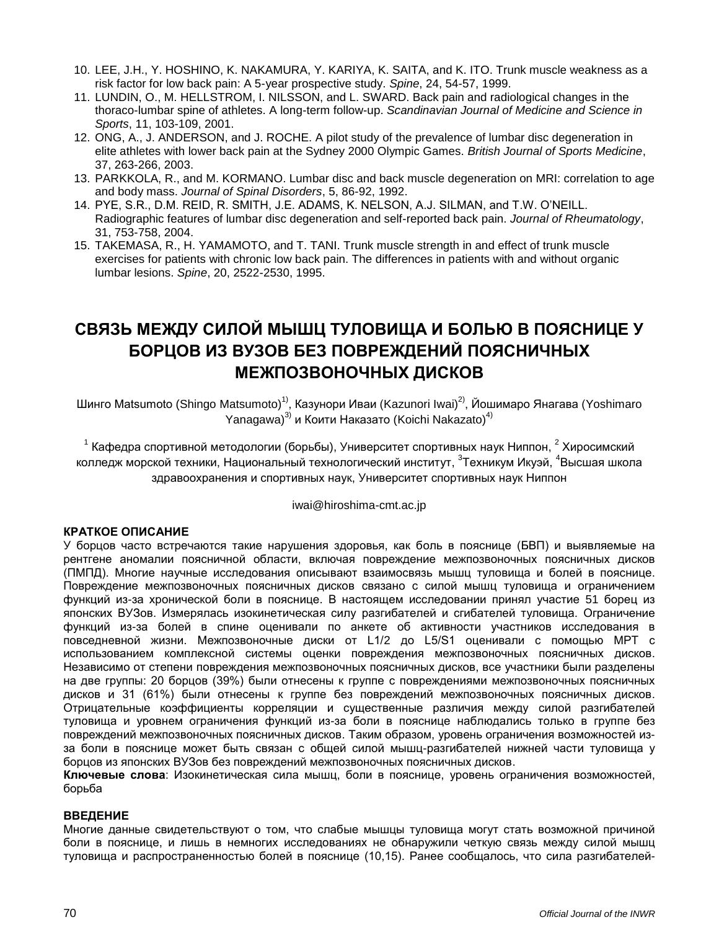- 10. LEE, J.H., Y. HOSHINO, K. NAKAMURA, Y. KARIYA, K. SAITA, and K. ITO. Trunk muscle weakness as a risk factor for low back pain: A 5-year prospective study. *Spine*, 24, 54-57, 1999.
- 11. LUNDIN, O., M. HELLSTROM, I. NILSSON, and L. SWARD. Back pain and radiological changes in the thoraco-lumbar spine of athletes. A long-term follow-up. *Scandinavian Journal of Medicine and Science in Sports*, 11, 103-109, 2001.
- 12. ONG, A., J. ANDERSON, and J. ROCHE. A pilot study of the prevalence of lumbar disc degeneration in elite athletes with lower back pain at the Sydney 2000 Olympic Games. *British Journal of Sports Medicine*, 37, 263-266, 2003.
- 13. PARKKOLA, R., and M. KORMANO. Lumbar disc and back muscle degeneration on MRI: correlation to age and body mass. *Journal of Spinal Disorders*, 5, 86-92, 1992.
- 14. PYE, S.R., D.M. REID, R. SMITH, J.E. ADAMS, K. NELSON, A.J. SILMAN, and T.W. O'NEILL. Radiographic features of lumbar disc degeneration and self-reported back pain. *Journal of Rheumatology*, 31, 753-758, 2004.
- 15. TAKEMASA, R., H. YAMAMOTO, and T. TANI. Trunk muscle strength in and effect of trunk muscle exercises for patients with chronic low back pain. The differences in patients with and without organic lumbar lesions. *Spine*, 20, 2522-2530, 1995.

# **СВЯЗЬ МЕЖДУ СИЛОЙ МЫШЦ ТУЛОВИЩА И БОЛЬЮ В ПОЯСНИЦЕ У БОРЦОВ ИЗ ВУЗОВ БЕЗ ПОВРЕЖДЕНИЙ ПОЯСНИЧНЫХ МЕЖПОЗВОНОЧНЫХ ДИСКОВ**

Шинго Matsumoto (Shingo Matsumoto)<sup>1)</sup>, Казунори Иваи (Kazunori Iwai)<sup>2)</sup>, Йошимаро Янагава (Yoshimaro Yanagawa)<sup>3)</sup> и Коити Наказато (Koichi Nakazato)<sup>4)</sup>

<sup>1</sup> Кафедра спортивной методологии (борьбы), Университет спортивных наук Ниппон, <sup>2</sup> Хиросимский колледж морской техники, Национальный технологический институт, <sup>з</sup>Техникум Икуэй, <sup>4</sup>Высшая школа здравоохранения и спортивных наук, Университет спортивных наук Ниппон

[iwai@hiroshima-cmt.ac.jp](mailto:iwai@hiroshima-cmt.ac.jp)

#### **КРАТКОЕ ОПИСАНИЕ**

У борцов часто встречаются такие нарушения здоровья, как боль в пояснице (БВП) и выявляемые на рентгене аномалии поясничной области, включая повреждение межпозвоночных поясничных дисков (ПМПД). Многие научные исследования описывают взаимосвязь мышц туловища и болей в пояснице. Повреждение межпозвоночных поясничных дисков связано с силой мышц туловища и ограничением функций из-за хронической боли в пояснице. В настоящем исследовании принял участие 51 борец из японских ВУЗов. Измерялась изокинетическая силу разгибателей и сгибателей туловища. Ограничение функций из-за болей в спине оценивали по анкете об активности участников исследования в повседневной жизни. Межпозвоночные диски от L1/2 до L5/S1 оценивали с помощью МРТ с использованием комплексной системы оценки повреждения межпозвоночных поясничных дисков. Независимо от степени повреждения межпозвоночных поясничных дисков, все участники были разделены на две группы: 20 борцов (39%) были отнесены к группе с повреждениями межпозвоночных поясничных дисков и 31 (61%) были отнесены к группе без повреждений межпозвоночных поясничных дисков. Отрицательные коэффициенты корреляции и существенные различия между силой разгибателей туловища и уровнем ограничения функций из-за боли в пояснице наблюдались только в группе без повреждений межпозвоночных поясничных дисков. Таким образом, уровень ограничения возможностей изза боли в пояснице может быть связан с общей силой мышц-разгибателей нижней части туловища у борцов из японских ВУЗов без повреждений межпозвоночных поясничных дисков.

**Ключевые слова**: Изокинетическая сила мышц, боли в пояснице, уровень ограничения возможностей, борьба

#### **ВВЕДЕНИЕ**

Многие данные свидетельствуют о том, что слабые мышцы туловища могут стать возможной причиной боли в пояснице, и лишь в немногих исследованиях не обнаружили четкую связь между силой мышц туловища и распространенностью болей в пояснице (10,15). Ранее сообщалось, что сила разгибателей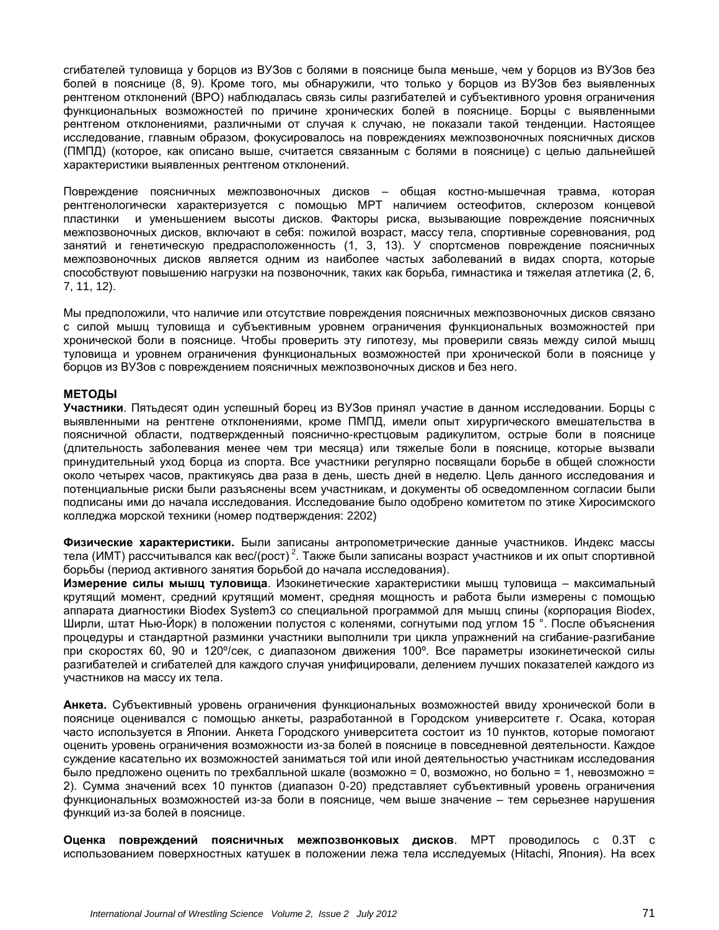сгибателей туловища у борцов из ВУЗов с болями в пояснице была меньше, чем у борцов из ВУЗов без болей в пояснице (8, 9). Кроме того, мы обнаружили, что только у борцов из ВУЗов без выявленных рентгеном отклонений (ВРО) наблюдалась связь силы разгибателей и субъективного уровня ограничения функциональных возможностей по причине хронических болей в пояснице. Борцы с выявленными рентгеном отклонениями, различными от случая к случаю, не показали такой тенденции. Настоящее исследование, главным образом, фокусировалось на повреждениях межпозвоночных поясничных дисков (ПМПД) (которое, как описано выше, считается связанным с болями в пояснице) с целью дальнейшей характеристики выявленных рентгеном отклонений.

Повреждение поясничных межпозвоночных дисков – общая костно-мышечная травма, которая рентгенологически характеризуется с помощью МРТ наличием остеофитов, склерозом концевой пластинки и уменьшением высоты дисков. Факторы риска, вызывающие повреждение поясничных межпозвоночных дисков, включают в себя: пожилой возраст, массу тела, спортивные соревнования, род занятий и генетическую предрасположенность (1, 3, 13). У спортсменов повреждение поясничных межпозвоночных дисков является одним из наиболее частых заболеваний в видах спорта, которые способствуют повышению нагрузки на позвоночник, таких как борьба, гимнастика и тяжелая атлетика (2, 6, 7, 11, 12).

Мы предположили, что наличие или отсутствие повреждения поясничных межпозвоночных дисков связано с силой мышц туловища и субъективным уровнем ограничения функциональных возможностей при хронической боли в пояснице. Чтобы проверить эту гипотезу, мы проверили связь между силой мышц туловища и уровнем ограничения функциональных возможностей при хронической боли в пояснице у борцов из ВУЗов с повреждением поясничных межпозвоночных дисков и без него.

#### **МЕТОДЫ**

**Участники**. Пятьдесят один успешный борец из ВУЗов принял участие в данном исследовании. Борцы с выявленными на рентгене отклонениями, кроме ПМПД, имели опыт хирургического вмешательства в поясничной области, подтвержденный пояснично-крестцовым радикулитом, острые боли в пояснице (длительность заболевания менее чем три месяца) или тяжелые боли в пояснице, которые вызвали принудительный уход борца из спорта. Все участники регулярно посвящали борьбе в общей сложности около четырех часов, практикуясь два раза в день, шесть дней в неделю. Цель данного исследования и потенциальные риски были разъяснены всем участникам, и документы об осведомленном согласии были подписаны ими до начала исследования. Исследование было одобрено комитетом по этике Хиросимского колледжа морской техники (номер подтверждения: 2202)

**Физические характеристики.** Были записаны антропометрические данные участников. Индекс массы тела (ИМТ) рассчитывался как вес/(рост)<sup>2</sup>. Также были записаны возраст участников и их опыт спортивной борьбы (период активного занятия борьбой до начала исследования).

**Измерение силы мышц туловища**. Изокинетические характеристики мышц туловища – максимальный крутящий момент, средний крутящий момент, средняя мощность и работа были измерены с помощью аппарата диагностики Biodex System3 со специальной программой для мышц спины (корпорация Biodex, Ширли, штат Нью-Йорк) в положении полустоя с коленями, согнутыми под углом 15 °. После объяснения процедуры и стандартной разминки участники выполнили три цикла упражнений на сгибание-разгибание при скоростях 60, 90 и 120º/сек, с диапазоном движения 100º. Все параметры изокинетической силы разгибателей и сгибателей для каждого случая унифицировали, делением лучших показателей каждого из участников на массу их тела.

**Анкета.** Субъективный уровень ограничения функциональных возможностей ввиду хронической боли в пояснице оценивался с помощью анкеты, разработанной в Городском университете г. Осака, которая часто используется в Японии. Анкета Городского университета состоит из 10 пунктов, которые помогают оценить уровень ограничения возможности из-за болей в пояснице в повседневной деятельности. Каждое суждение касательно их возможностей заниматься той или иной деятельностью участникам исследования было предложено оценить по трехбалльной шкале (возможно = 0, возможно, но больно = 1, невозможно = 2). Сумма значений всех 10 пунктов (диапазон 0-20) представляет субъективный уровень ограничения функциональных возможностей из-за боли в пояснице, чем выше значение – тем серьезнее нарушения функций из-за болей в пояснице.

**Оценка повреждений поясничных межпозвонковых дисков**. МРТ проводилось с 0.3T с использованием поверхностных катушек в положении лежа тела исследуемых (Hitachi, Япония). На всех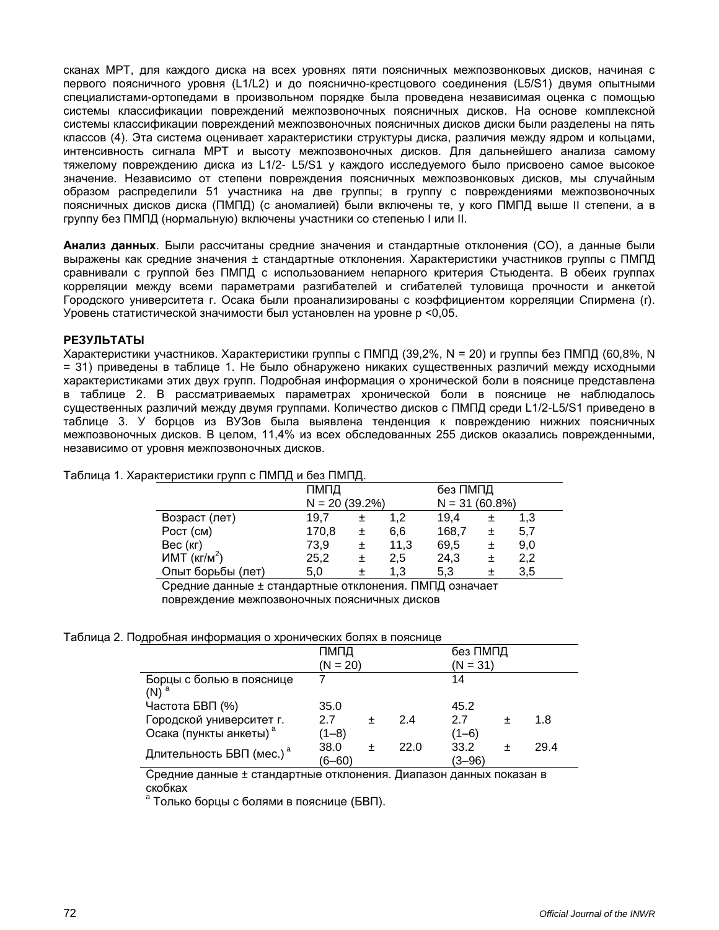сканах МРТ, для каждого диска на всех уровнях пяти поясничных межпозвонковых дисков, начиная с первого поясничного уровня (L1/L2) и до пояснично-крестцового соединения (L5/S1) двумя опытными специалистами-ортопедами в произвольном порядке была проведена независимая оценка с помощью системы классификации повреждений межпозвоночных поясничных дисков. На основе комплексной системы классификации повреждений межпозвоночных поясничных дисков диски были разделены на пять классов (4). Эта система оценивает характеристики структуры диска, различия между ядром и кольцами, интенсивность сигнала МРТ и высоту межпозвоночных дисков. Для дальнейшего анализа самому тяжелому повреждению диска из L1/2- L5/S1 у каждого исследуемого было присвоено самое высокое значение. Независимо от степени повреждения поясничных межпозвонковых дисков, мы случайным образом распределили 51 участника на две группы; в группу с повреждениями межпозвоночных поясничных дисков диска (ПМПД) (с аномалией) были включены те, у кого ПМПД выше II степени, а в группу без ПМПД (нормальную) включены участники со степенью I или II.

**Анализ данных**. Были рассчитаны средние значения и стандартные отклонения (СО), а данные были выражены как средние значения ± стандартные отклонения. Характеристики участников группы с ПМПД сравнивали с группой без ПМПД с использованием непарного критерия Стьюдента. В обеих группах корреляции между всеми параметрами разгибателей и сгибателей туловища прочности и анкетой Городского университета г. Осака были проанализированы с коэффициентом корреляции Спирмена (r). Уровень статистической значимости был установлен на уровне p <0,05.

#### **РЕЗУЛЬТАТЫ**

Характеристики участников. Характеристики группы с ПМПД (39,2%, N = 20) и группы без ПМПД (60,8%, N = 31) приведены в таблице 1. Не было обнаружено никаких существенных различий между исходными характеристиками этих двух групп. Подробная информация о хронической боли в пояснице представлена в таблице 2. В рассматриваемых параметрах хронической боли в пояснице не наблюдалось существенных различий между двумя группами. Количество дисков с ПМПД среди L1/2-L5/S1 приведено в таблице 3. У борцов из ВУЗов была выявлена тенденция к повреждению нижних поясничных межпозвоночных дисков. В целом, 11,4% из всех обследованных 255 дисков оказались поврежденными, независимо от уровня межпозвоночных дисков.

|                          | ПМПД             |   | без ПМПД |                   |   |     |  |
|--------------------------|------------------|---|----------|-------------------|---|-----|--|
|                          | $N = 20 (39.2%)$ |   |          | $N = 31 (60.8\%)$ |   |     |  |
| Возраст (лет)            | 19.7             | 土 | 1.2      | 19.4              | 土 | 1.3 |  |
| POCT (CM)                | 170,8            | 土 | 6.6      | 168,7             | 士 | 5.7 |  |
| $Bec$ (кг)               | 73,9             | 土 | 11.3     | 69.5              | 土 | 9,0 |  |
| ИМТ (кг/м <sup>2</sup> ) | 25,2             | 土 | 2.5      | 24,3              | 土 | 2,2 |  |
| Опыт борьбы (лет)        | 5,0              | 土 | 1,3      | 5,3               | 土 | 3,5 |  |

Таблица 1. Характеристики групп с ПМПД и без ПМПД.

Средние данные ± стандартные отклонения. ПМПД означает повреждение межпозвоночных поясничных дисков

#### Таблица 2. Подробная информация о хронических болях в пояснице

| . .                                  |                |      |                |        |      |
|--------------------------------------|----------------|------|----------------|--------|------|
|                                      | ПМПД           |      | без ПМПД       |        |      |
|                                      | $(N = 20)$     |      | $(N = 31)$     |        |      |
| Борцы с болью в пояснице<br>(N)      |                |      | 14             |        |      |
| Частота БВП (%)                      | 35.0           |      | 45.2           |        |      |
| Городской университет г.             | 2.7            | 2.4  | 27             | $\div$ | 1.8  |
| Осака (пункты анкеты) <sup>а</sup>   | $(1-8)$        |      | (1–6)          |        |      |
| Длительность БВП (мес.) <sup>а</sup> | 38.0<br>(6–60) | 22.0 | 33.2<br>(3–96) |        | 29.4 |

Средние данные ± стандартные отклонения. Диапазон данных показан в скобках

<sup>а</sup> Только борцы с болями в пояснице (БВП).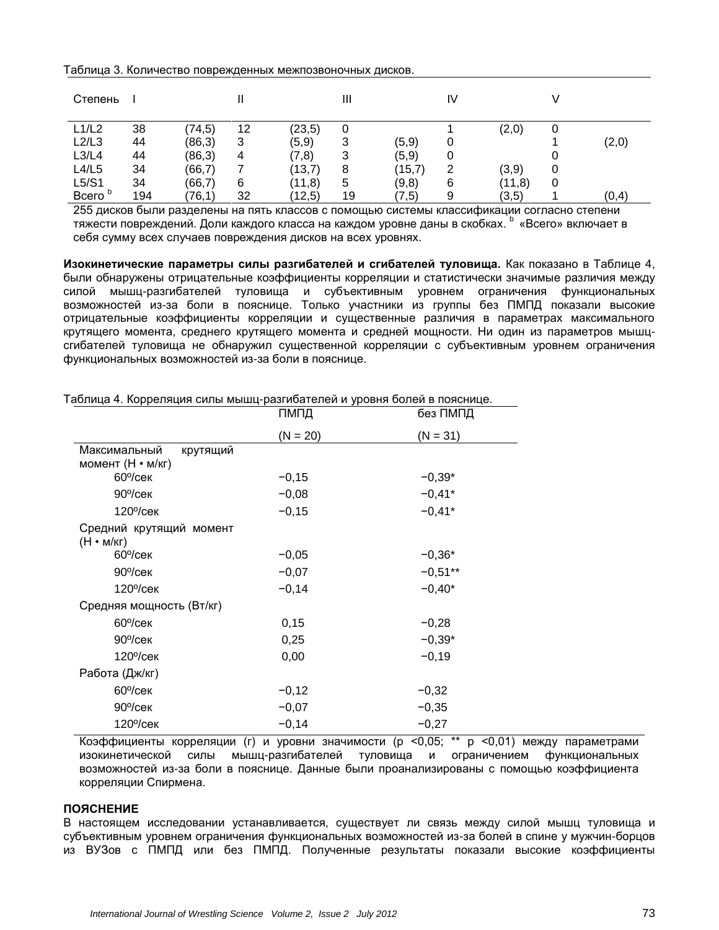Таблица 3. Количество поврежденных межпозвоночных дисков.

| Степень            |     |         |    |         | Ш  |        | IV |        |   |        |
|--------------------|-----|---------|----|---------|----|--------|----|--------|---|--------|
| L1/L2              | 38  | (74, 5) | 12 | (23, 5) | 0  |        |    | (2,0)  | U |        |
| L2/L3              | 44  | (86, 3) | 3  | (5, 9)  | 3  | (5,9)  |    |        |   | (2,0)  |
| L3/L4              | 44  | (86,3)  | 4  | (7,8)   | 3  | (5,9)  |    |        |   |        |
| L4/L5              | 34  | (66, 7) |    | (13,7)  | 8  | (15,7) | 2  | (3,9)  | 0 |        |
| L5/S1              | 34  | (66, 7) | 6  | (11,8)  | 5  | (9,8)  | 6  | (11,8) | 0 |        |
| Bcero <sup>b</sup> | 194 | 76,1    | 32 | (12,5)  | 19 | (7, 5) | 9  | (3, 5) |   | (0, 4) |

255 дисков были разделены на пять классов с помощью системы классификации согласно степени тяжести повреждений. Доли каждого класса на каждом уровне даны в скобках. <sup>Ъ</sup> «Всего» включает в себя сумму всех случаев повреждения дисков на всех уровнях.

**Изокинетические параметры силы разгибателей и сгибателей туловища.** Как показано в Таблице 4, были обнаружены отрицательные коэффициенты корреляции и статистически значимые различия между силой мышц-разгибателей туловища и субъективным уровнем ограничения функциональных возможностей из-за боли в пояснице. Только участники из группы без ПМПД показали высокие отрицательные коэффициенты корреляции и существенные различия в параметрах максимального крутящего момента, среднего крутящего момента и средней мощности. Ни один из параметров мышцсгибателей туловища не обнаружил существенной корреляции с субъективным уровнем ограничения функциональных возможностей из-за боли в пояснице.

|                                       | ПМПД       | без ПМПД   |
|---------------------------------------|------------|------------|
|                                       | $(N = 20)$ | $(N = 31)$ |
| Максимальный<br>крутящий              |            |            |
| момент (Н • м/кг)                     |            |            |
| $60\%$ сек                            | $-0,15$    | $-0,39*$   |
| $90\%$ сек                            | $-0,08$    | $-0,41*$   |
| 120% сек                              | $-0,15$    | $-0,41*$   |
| Средний крутящий момент<br>(Н • м/кг) |            |            |
| 60%сек                                | $-0,05$    | $-0,36*$   |
| $90\%$ сек                            | $-0,07$    | $-0.51**$  |
| $120\%$ сек                           | $-0,14$    | $-0,40*$   |
| Средняя мощность (Вт/кг)              |            |            |
| $60\%$ сек                            | 0,15       | $-0,28$    |
| $90\%$ сек                            | 0,25       | $-0,39*$   |
| $120\%$ сек                           | 0,00       | $-0,19$    |
| Работа (Дж/кг)                        |            |            |
| $60\%$ сек                            | $-0,12$    | $-0,32$    |
| 90% сек                               | $-0,07$    | $-0,35$    |
| $120\%$ сек                           | $-0,14$    | $-0,27$    |
|                                       |            |            |

Таблица 4. Корреляция силы мышц-разгибателей и уровня болей в пояснице.

Коэффициенты корреляции (г) и уровни значимости (p <0,05; \*\* p <0,01) между параметрами изокинетической силы мышц-разгибателей туловища и ограничением функциональных возможностей из-за боли в пояснице. Данные были проанализированы с помощью коэффициента корреляции Спирмена.

#### **ПОЯСНЕНИЕ**

В настоящем исследовании устанавливается, существует ли связь между силой мышц туловища и субъективным уровнем ограничения функциональных возможностей из-за болей в спине у мужчин-борцов из ВУЗов с ПМПД или без ПМПД. Полученные результаты показали высокие коэффициенты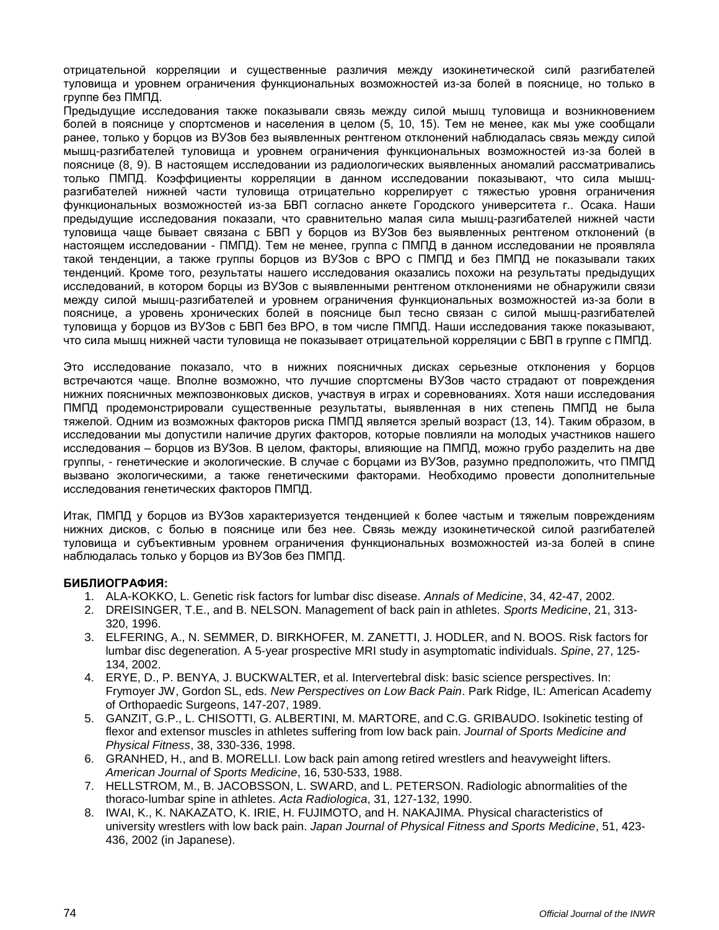отрицательной корреляции и существенные различия между изокинетической силй разгибателей туловища и уровнем ограничения функциональных возможностей из-за болей в пояснице, но только в группе без ПМПД.

Предыдущие исследования также показывали связь между силой мышц туловища и возникновением болей в пояснице у спортсменов и населения в целом (5, 10, 15). Тем не менее, как мы уже сообщали ранее, только у борцов из ВУЗов без выявленных рентгеном отклонений наблюдалась связь между силой мышц-разгибателей туловища и уровнем ограничения функциональных возможностей из-за болей в пояснице (8, 9). В настоящем исследовании из радиологических выявленных аномалий рассматривались только ПМПД. Коэффициенты корреляции в данном исследовании показывают, что сила мышцразгибателей нижней части туловища отрицательно коррелирует с тяжестью уровня ограничения функциональных возможностей из-за БВП согласно анкете Городского университета г.. Осака. Наши предыдущие исследования показали, что сравнительно малая сила мышц-разгибателей нижней части туловища чаще бывает связана с БВП у борцов из ВУЗов без выявленных рентгеном отклонений (в настоящем исследовании - ПМПД). Тем не менее, группа с ПМПД в данном исследовании не проявляла такой тенденции, а также группы борцов из ВУЗов с ВРО с ПМПД и без ПМПД не показывали таких тенденций. Кроме того, результаты нашего исследования оказались похожи на результаты предыдущих исследований, в котором борцы из ВУЗов с выявленными рентгеном отклонениями не обнаружили связи между силой мышц-разгибателей и уровнем ограничения функциональных возможностей из-за боли в пояснице, а уровень хронических болей в пояснице был тесно связан с силой мышц-разгибателей туловища у борцов из ВУЗов с БВП без ВРО, в том числе ПМПД. Наши исследования также показывают, что сила мышц нижней части туловища не показывает отрицательной корреляции с БВП в группе с ПМПД.

Это исследование показало, что в нижних поясничных дисках серьезные отклонения у борцов встречаются чаще. Вполне возможно, что лучшие спортсмены ВУЗов часто страдают от повреждения нижних поясничных межпозвонковых дисков, участвуя в играх и соревнованиях. Хотя наши исследования ПМПД продемонстрировали существенные результаты, выявленная в них степень ПМПД не была тяжелой. Одним из возможных факторов риска ПМПД является зрелый возраст (13, 14). Таким образом, в исследовании мы допустили наличие других факторов, которые повлияли на молодых участников нашего исследования – борцов из ВУЗов. В целом, факторы, влияющие на ПМПД, можно грубо разделить на две группы, - генетические и экологические. В случае с борцами из ВУЗов, разумно предположить, что ПМПД вызвано экологическими, а также генетическими факторами. Необходимо провести дополнительные исследования генетических факторов ПМПД.

Итак, ПМПД у борцов из ВУЗов характеризуется тенденцией к более частым и тяжелым повреждениям нижних дисков, с болью в пояснице или без нее. Связь между изокинетической силой разгибателей туловища и субъективным уровнем ограничения функциональных возможностей из-за болей в спине наблюдалась только у борцов из ВУЗов без ПМПД.

#### **БИБЛИОГРАФИЯ:**

- 1. ALA-KOKKO, L. Genetic risk factors for lumbar disc disease. *Annals of Medicine*, 34, 42-47, 2002.
- 2. DREISINGER, T.E., and B. NELSON. Management of back pain in athletes. *Sports Medicine*, 21, 313- 320, 1996.
- 3. ELFERING, A., N. SEMMER, D. BIRKHOFER, M. ZANETTI, J. HODLER, and N. BOOS. Risk factors for lumbar disc degeneration. A 5-year prospective MRI study in asymptomatic individuals. *Spine*, 27, 125- 134, 2002.
- 4. ERYE, D., P. BENYA, J. BUCKWALTER, et al. Intervertebral disk: basic science perspectives. In: Frymoyer JW, Gordon SL, eds. *New Perspectives on Low Back Pain*. Park Ridge, IL: American Academy of Orthopaedic Surgeons, 147-207, 1989.
- 5. GANZIT, G.P., L. CHISOTTI, G. ALBERTINI, M. MARTORE, and C.G. GRIBAUDO. Isokinetic testing of flexor and extensor muscles in athletes suffering from low back pain. *Journal of Sports Medicine and Physical Fitness*, 38, 330-336, 1998.
- 6. GRANHED, H., and B. MORELLI. Low back pain among retired wrestlers and heavyweight lifters. *American Journal of Sports Medicine*, 16, 530-533, 1988.
- 7. HELLSTROM, M., B. JACOBSSON, L. SWARD, and L. PETERSON. Radiologic abnormalities of the thoraco-lumbar spine in athletes. *Acta Radiologica*, 31, 127-132, 1990.
- 8. IWAI, K., K. NAKAZATO, K. IRIE, H. FUJIMOTO, and H. NAKAJIMA. Physical characteristics of university wrestlers with low back pain. *Japan Journal of Physical Fitness and Sports Medicine*, 51, 423- 436, 2002 (in Japanese).